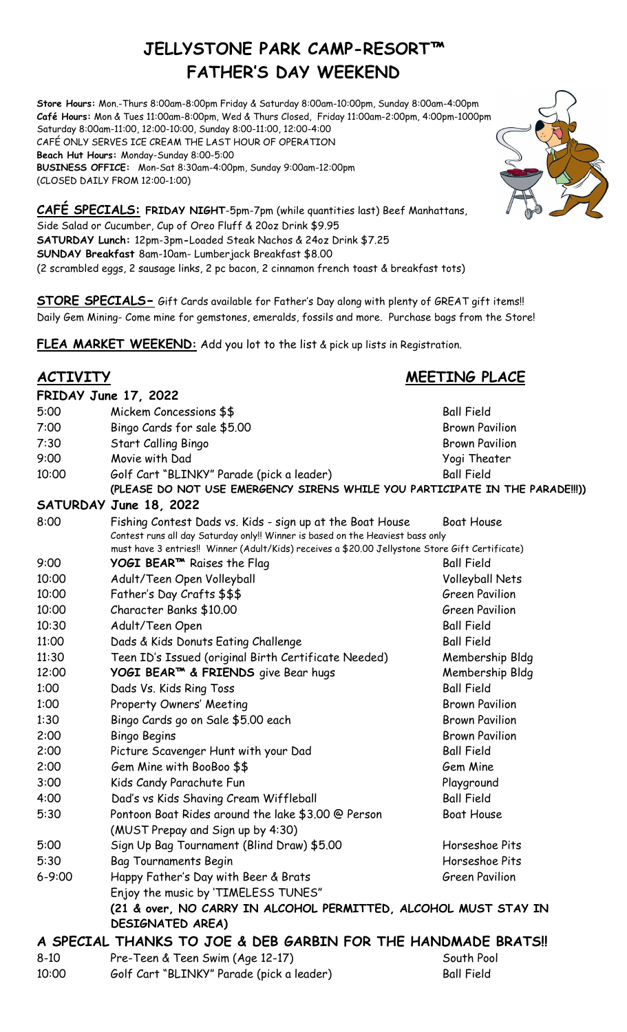# **JELLYSTONE PARK CAMP-RESORT™ FATHER'S DAY WEEKEND**

**Store Hours:** Mon.-Thurs 8:00am-8:00pm Friday & Saturday 8:00am-10:00pm, Sunday 8:00am-4:00pm **Café Hours:** Mon & Tues 11:00am-8:00pm, Wed & Thurs Closed, Friday 11:00am-2:00pm, 4:00pm-1000pm Saturday 8:00am-11:00, 12:00-10:00, Sunday 8:00-11:00, 12:00-4:00 CAFÉ ONLY SERVES ICE CREAM THE LAST HOUR OF OPERATION **Beach Hut Hours:** Monday-Sunday 8:00-5:00 **BUSINESS OFFICE:** Mon-Sat 8:30am-4:00pm, Sunday 9:00am-12:00pm (CLOSED DAILY FROM 12:00-1:00)

**CAFÉ SPECIALS: FRIDAY NIGHT**-5pm-7pm (while quantities last) Beef Manhattans, Side Salad or Cucumber, Cup of Oreo Fluff & 20oz Drink \$9.95 **SATURDAY Lunch:** 12pm-3pm**-**Loaded Steak Nachos & 24oz Drink \$7.25 **SUNDAY Breakfast** 8am-10am- Lumberjack Breakfast \$8.00 (2 scrambled eggs, 2 sausage links, 2 pc bacon, 2 cinnamon french toast & breakfast tots)

**STORE SPECIALS-** Gift Cards available for Father's Day along with plenty of GREAT gift items!! Daily Gem Mining- Come mine for gemstones, emeralds, fossils and more. Purchase bags from the Store!

**FLEA MARKET WEEKEND:** Add you lot to the list & pick up lists in Registration.

### **ACTIVITY MEETING PLACE**

|                                                               | <b>FRIDAY June 17, 2022</b>                                                                     |                       |
|---------------------------------------------------------------|-------------------------------------------------------------------------------------------------|-----------------------|
| 5:00                                                          | Mickem Concessions \$\$                                                                         | <b>Ball Field</b>     |
| 7:00                                                          | Bingo Cards for sale \$5.00                                                                     | <b>Brown Pavilion</b> |
| 7:30                                                          | Start Calling Bingo                                                                             | <b>Brown Pavilion</b> |
| 9:00                                                          | Movie with Dad                                                                                  | Yogi Theater          |
| 10:00                                                         | Golf Cart "BLINKY" Parade (pick a leader)                                                       | <b>Ball Field</b>     |
|                                                               | (PLEASE DO NOT USE EMERGENCY SIRENS WHILE YOU PARTICIPATE IN THE PARADE !!! ))                  |                       |
|                                                               | SATURDAY June 18, 2022                                                                          |                       |
| 8:00                                                          | Fishing Contest Dads vs. Kids - sign up at the Boat House                                       | <b>Boat House</b>     |
|                                                               | Contest runs all day Saturday only!! Winner is based on the Heaviest bass only                  |                       |
|                                                               | must have 3 entries!! Winner (Adult/Kids) receives a \$20.00 Jellystone Store Gift Certificate) |                       |
| 9:00                                                          | YOGI BEAR <sup>™</sup> Raises the Flag                                                          | <b>Ball Field</b>     |
| 10:00                                                         | Adult/Teen Open Volleyball                                                                      | Volleyball Nets       |
| 10:00                                                         | Father's Day Crafts \$\$\$                                                                      | <b>Green Pavilion</b> |
| 10:00                                                         | Character Banks \$10.00                                                                         | <b>Green Pavilion</b> |
| 10:30                                                         | Adult/Teen Open                                                                                 | <b>Ball Field</b>     |
| 11:00                                                         | Dads & Kids Donuts Eating Challenge                                                             | <b>Ball Field</b>     |
| 11:30                                                         | Teen ID's Issued (original Birth Certificate Needed)                                            | Membership Bldg       |
| 12:00                                                         | YOGI BEAR™ & FRIENDS give Bear hugs                                                             | Membership Bldg       |
| 1:00                                                          | Dads Vs. Kids Ring Toss                                                                         | <b>Ball Field</b>     |
| 1:00                                                          | Property Owners' Meeting                                                                        | <b>Brown Pavilion</b> |
| 1:30                                                          | Bingo Cards go on Sale \$5.00 each                                                              | <b>Brown Pavilion</b> |
| 2:00                                                          | <b>Bingo Begins</b>                                                                             | <b>Brown Pavilion</b> |
| 2:00                                                          | Picture Scavenger Hunt with your Dad                                                            | <b>Ball Field</b>     |
| 2:00                                                          | Gem Mine with BooBoo \$\$                                                                       | Gem Mine              |
| 3:00                                                          | Kids Candy Parachute Fun                                                                        | Playground            |
| 4:00                                                          | Dad's vs Kids Shaving Cream Wiffleball                                                          | <b>Ball Field</b>     |
| 5:30                                                          | Pontoon Boat Rides around the lake \$3.00 @ Person                                              | <b>Boat House</b>     |
|                                                               | (MUST Prepay and Sign up by 4:30)                                                               |                       |
| 5:00                                                          | Sign Up Bag Tournament (Blind Draw) \$5.00                                                      | Horseshoe Pits        |
| 5:30                                                          | <b>Bag Tournaments Begin</b>                                                                    | Horseshoe Pits        |
| $6 - 9:00$                                                    | Happy Father's Day with Beer & Brats                                                            | <b>Green Pavilion</b> |
|                                                               | Enjoy the music by 'TIMELESS TUNES"                                                             |                       |
|                                                               | (21 & over, NO CARRY IN ALCOHOL PERMITTED, ALCOHOL MUST STAY IN                                 |                       |
|                                                               | DESIGNATED AREA)                                                                                |                       |
| A SPECIAL THANKS TO JOE & DEB GARBIN FOR THE HANDMADE BRATS!! |                                                                                                 |                       |
| $8 - 10$                                                      | Pre-Teen & Teen Swim (Age 12-17)                                                                | South Pool            |

10:00 Golf Cart "BLINKY" Parade (pick a leader) Ball Field